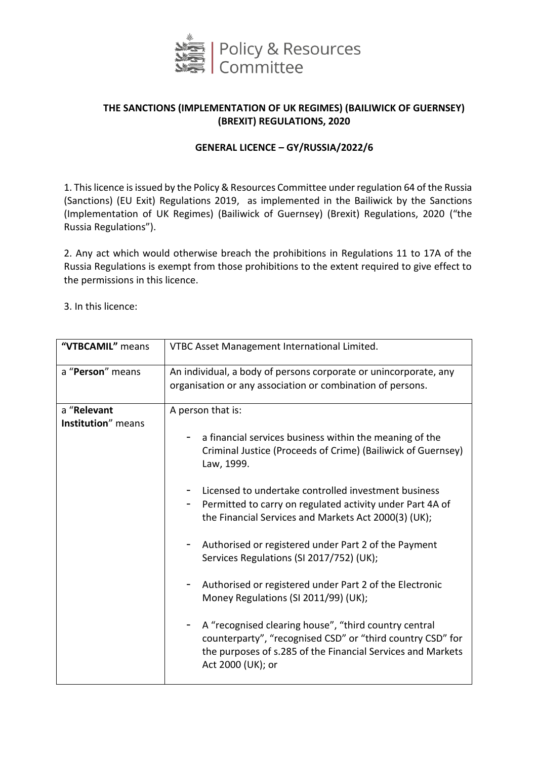

# **THE SANCTIONS (IMPLEMENTATION OF UK REGIMES) (BAILIWICK OF GUERNSEY) (BREXIT) REGULATIONS, 2020**

## **GENERAL LICENCE – GY/RUSSIA/2022/6**

1. This licence is issued by the Policy & Resources Committee under regulation 64 of the Russia (Sanctions) (EU Exit) Regulations 2019, as implemented in the Bailiwick by the Sanctions (Implementation of UK Regimes) (Bailiwick of Guernsey) (Brexit) Regulations, 2020 ("the Russia Regulations").

2. Any act which would otherwise breach the prohibitions in Regulations 11 to 17A of the Russia Regulations is exempt from those prohibitions to the extent required to give effect to the permissions in this licence.

3. In this licence:

| "VTBCAMIL" means                  | VTBC Asset Management International Limited.                                                                                                                                                                                                                                                                                                                                                                                                                                                                                                                                                                                                                                                                                                              |
|-----------------------------------|-----------------------------------------------------------------------------------------------------------------------------------------------------------------------------------------------------------------------------------------------------------------------------------------------------------------------------------------------------------------------------------------------------------------------------------------------------------------------------------------------------------------------------------------------------------------------------------------------------------------------------------------------------------------------------------------------------------------------------------------------------------|
| a "Person" means                  | An individual, a body of persons corporate or unincorporate, any<br>organisation or any association or combination of persons.                                                                                                                                                                                                                                                                                                                                                                                                                                                                                                                                                                                                                            |
| a "Relevant<br>Institution" means | A person that is:<br>a financial services business within the meaning of the<br>Criminal Justice (Proceeds of Crime) (Bailiwick of Guernsey)<br>Law, 1999.<br>Licensed to undertake controlled investment business<br>Permitted to carry on regulated activity under Part 4A of<br>the Financial Services and Markets Act 2000(3) (UK);<br>Authorised or registered under Part 2 of the Payment<br>Services Regulations (SI 2017/752) (UK);<br>Authorised or registered under Part 2 of the Electronic<br>Money Regulations (SI 2011/99) (UK);<br>A "recognised clearing house", "third country central<br>counterparty", "recognised CSD" or "third country CSD" for<br>the purposes of s.285 of the Financial Services and Markets<br>Act 2000 (UK); or |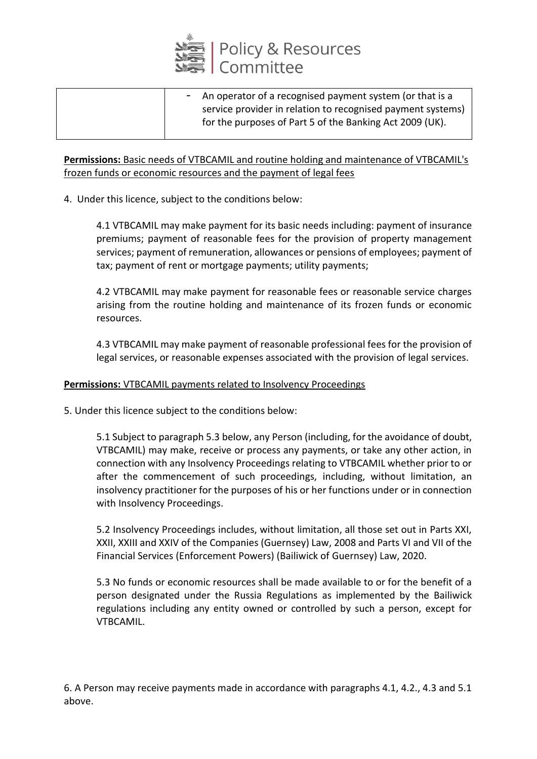

| - An operator of a recognised payment system (or that is a<br>service provider in relation to recognised payment systems)<br>for the purposes of Part 5 of the Banking Act 2009 (UK). |
|---------------------------------------------------------------------------------------------------------------------------------------------------------------------------------------|
|---------------------------------------------------------------------------------------------------------------------------------------------------------------------------------------|

## **Permissions:** Basic needs of VTBCAMIL and routine holding and maintenance of VTBCAMIL's frozen funds or economic resources and the payment of legal fees

4. Under this licence, subject to the conditions below:

4.1 VTBCAMIL may make payment for its basic needs including: payment of insurance premiums; payment of reasonable fees for the provision of property management services; payment of remuneration, allowances or pensions of employees; payment of tax; payment of rent or mortgage payments; utility payments;

4.2 VTBCAMIL may make payment for reasonable fees or reasonable service charges arising from the routine holding and maintenance of its frozen funds or economic resources.

4.3 VTBCAMIL may make payment of reasonable professional fees for the provision of legal services, or reasonable expenses associated with the provision of legal services.

### **Permissions:** VTBCAMIL payments related to Insolvency Proceedings

5. Under this licence subject to the conditions below:

5.1 Subject to paragraph 5.3 below, any Person (including, for the avoidance of doubt, VTBCAMIL) may make, receive or process any payments, or take any other action, in connection with any Insolvency Proceedings relating to VTBCAMIL whether prior to or after the commencement of such proceedings, including, without limitation, an insolvency practitioner for the purposes of his or her functions under or in connection with Insolvency Proceedings.

5.2 Insolvency Proceedings includes, without limitation, all those set out in Parts XXI, XXII, XXIII and XXIV of the Companies (Guernsey) Law, 2008 and Parts VI and VII of the Financial Services (Enforcement Powers) (Bailiwick of Guernsey) Law, 2020.

5.3 No funds or economic resources shall be made available to or for the benefit of a person designated under the Russia Regulations as implemented by the Bailiwick regulations including any entity owned or controlled by such a person, except for VTBCAMIL.

6. A Person may receive payments made in accordance with paragraphs 4.1, 4.2., 4.3 and 5.1 above.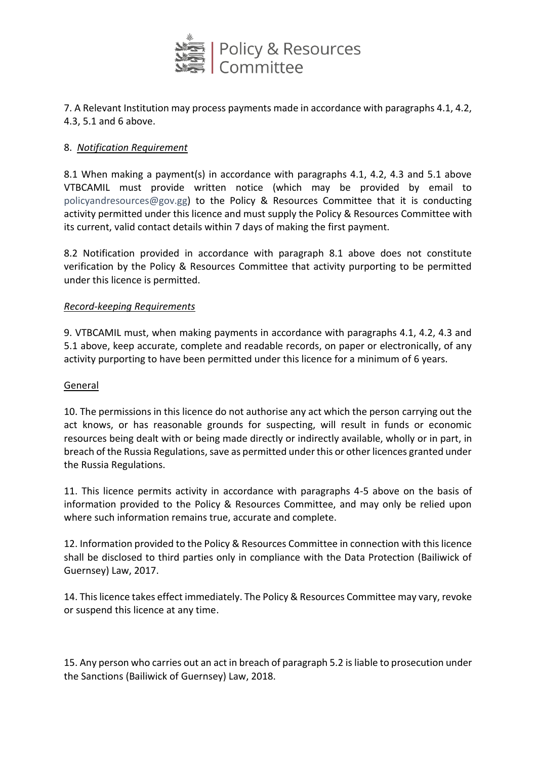

# 7. A Relevant Institution may process payments made in accordance with paragraphs 4.1, 4.2, 4.3, 5.1 and 6 above.

## 8. *Notification Requirement*

8.1 When making a payment(s) in accordance with paragraphs 4.1, 4.2, 4.3 and 5.1 above VTBCAMIL must provide written notice (which may be provided by email to [policyandresources@gov.gg\)](mailto:policyandresources@gov.gg) to the Policy & Resources Committee that it is conducting activity permitted under this licence and must supply the Policy & Resources Committee with its current, valid contact details within 7 days of making the first payment.

8.2 Notification provided in accordance with paragraph 8.1 above does not constitute verification by the Policy & Resources Committee that activity purporting to be permitted under this licence is permitted.

#### *Record-keeping Requirements*

9. VTBCAMIL must, when making payments in accordance with paragraphs 4.1, 4.2, 4.3 and 5.1 above, keep accurate, complete and readable records, on paper or electronically, of any activity purporting to have been permitted under this licence for a minimum of 6 years.

#### **General**

10. The permissions in this licence do not authorise any act which the person carrying out the act knows, or has reasonable grounds for suspecting, will result in funds or economic resources being dealt with or being made directly or indirectly available, wholly or in part, in breach of the Russia Regulations, save as permitted under this or other licences granted under the Russia Regulations.

11. This licence permits activity in accordance with paragraphs 4-5 above on the basis of information provided to the Policy & Resources Committee, and may only be relied upon where such information remains true, accurate and complete.

12. Information provided to the Policy & Resources Committee in connection with this licence shall be disclosed to third parties only in compliance with the Data Protection (Bailiwick of Guernsey) Law, 2017.

14. This licence takes effect immediately. The Policy & Resources Committee may vary, revoke or suspend this licence at any time.

15. Any person who carries out an act in breach of paragraph 5.2 is liable to prosecution under the Sanctions (Bailiwick of Guernsey) Law, 2018.